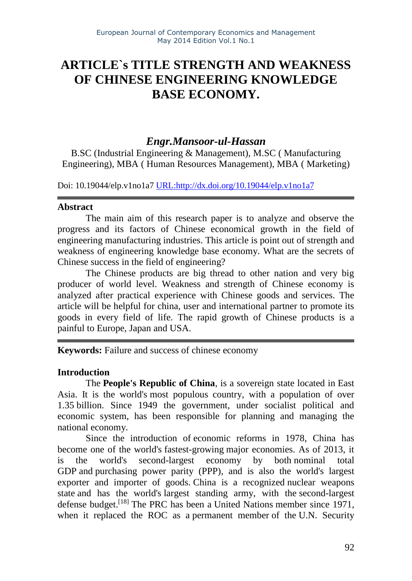# **ARTICLE`s TITLE STRENGTH AND WEAKNESS OF CHINESE ENGINEERING KNOWLEDGE BASE ECONOMY.**

# *Engr.Mansoor-ul-Hassan*

B.SC (Industrial Engineering & Management), M.SC ( Manufacturing Engineering), MBA ( Human Resources Management), MBA ( Marketing)

Doi: 10.19044/elp.v1no1a7 [URL:http://dx.doi.org/10.19044/elp.v1no1a7](http://dx.doi.org/10.19044/elp.v1no1a7)

#### **Abstract**

The main aim of this research paper is to analyze and observe the progress and its factors of Chinese economical growth in the field of engineering manufacturing industries. This article is point out of strength and weakness of engineering knowledge base economy. What are the secrets of Chinese success in the field of engineering?

The Chinese products are big thread to other nation and very big producer of world level. Weakness and strength of Chinese economy is analyzed after practical experience with Chinese goods and services. The article will be helpful for china, user and international partner to promote its goods in every field of life. The rapid growth of Chinese products is a painful to Europe, Japan and USA.

**Keywords:** Failure and success of chinese economy

#### **Introduction**

The **People's Republic of China**, is a sovereign state located in [East](http://en.wikipedia.org/wiki/East_Asia) [Asia.](http://en.wikipedia.org/wiki/East_Asia) It is the world's most [populous](http://en.wikipedia.org/wiki/List_of_countries_by_population) country, with a population of over 1.35 billion. Since 1949 the government, under socialist political and economic system, has been responsible for planning and managing the national economy.

Since the introduction of economic [reforms in](http://en.wikipedia.org/wiki/Chinese_economic_reform) 1978, China has become one of the world's [fastest-growing](http://en.wikipedia.org/wiki/List_of_countries_by_real_GDP_growth_rate) major economies. As of 2013, it is the world's second-largest economy by both [nominal total](http://en.wikipedia.org/wiki/List_of_countries_by_GDP_(nominal))  [GDP](http://en.wikipedia.org/wiki/List_of_countries_by_GDP_(nominal)) and purchasing [power parity](http://en.wikipedia.org/wiki/List_of_countries_by_GDP_(PPP)) (PPP), and is also the world's largest exporter and importer of goods. China is a recognized [nuclear weapons](http://en.wikipedia.org/wiki/List_of_states_with_nuclear_weapons)  [state](http://en.wikipedia.org/wiki/List_of_states_with_nuclear_weapons) and has the world's [largest standing](http://en.wikipedia.org/wiki/List_of_countries_by_number_of_active_troops) army, with the [second-largest](http://en.wikipedia.org/wiki/List_of_countries_by_military_expenditures)  [defense](http://en.wikipedia.org/wiki/List_of_countries_by_military_expenditures) budget.<sup>[\[18\]](http://en.wikipedia.org/wiki/China#cite_note-ChineseNukes-27)</sup> The PRC has been a [United Nations](http://en.wikipedia.org/wiki/United_Nations) member since 1971, when it replaced the ROC as a [permanent member](http://en.wikipedia.org/wiki/Permanent_members_of_the_United_Nations_Security_Council) of the [U.N. Security](http://en.wikipedia.org/wiki/United_Nations_Security_Council)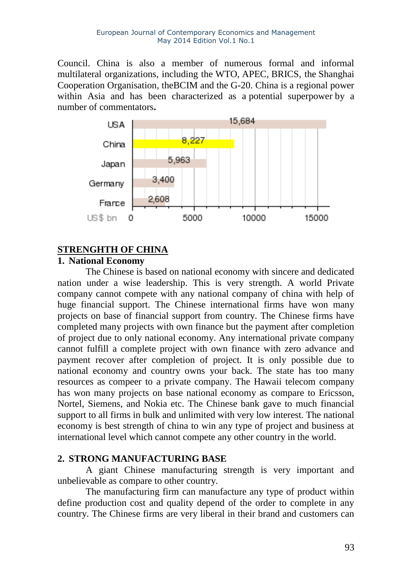[Council.](http://en.wikipedia.org/wiki/United_Nations_Security_Council) China is also a member of numerous formal and informal multilateral organizations, including the [WTO,](http://en.wikipedia.org/wiki/World_Trade_Organization) [APEC,](http://en.wikipedia.org/wiki/Asia-Pacific_Economic_Cooperation) [BRICS,](http://en.wikipedia.org/wiki/BRICS) the [Shanghai](http://en.wikipedia.org/wiki/Shanghai_Cooperation_Organisation) [Cooperation Organisation,](http://en.wikipedia.org/wiki/Shanghai_Cooperation_Organisation) th[eBCIM](http://en.wikipedia.org/wiki/BCIM) and the [G-20.](http://en.wikipedia.org/wiki/G-20_major_economies) China is a regional power within Asia and has been characterized as a [potential superpower](http://en.wikipedia.org/wiki/Potential_superpowers) by a number of commentators**.**



# **STRENGHTH OF CHINA**

# **1. National Economy**

The Chinese is based on national economy with sincere and dedicated nation under a wise leadership. This is very strength. A world Private company cannot compete with any national company of china with help of huge financial support. The Chinese international firms have won many projects on base of financial support from country. The Chinese firms have completed many projects with own finance but the payment after completion of project due to only national economy. Any international private company cannot fulfill a complete project with own finance with zero advance and payment recover after completion of project. It is only possible due to national economy and country owns your back. The state has too many resources as compeer to a private company. The Hawaii telecom company has won many projects on base national economy as compare to Ericsson, Nortel, Siemens, and Nokia etc. The Chinese bank gave to much financial support to all firms in bulk and unlimited with very low interest. The national economy is best strength of china to win any type of project and business at international level which cannot compete any other country in the world.

#### **2. STRONG MANUFACTURING BASE**

A giant Chinese manufacturing strength is very important and unbelievable as compare to other country.

The manufacturing firm can manufacture any type of product within define production cost and quality depend of the order to complete in any country. The Chinese firms are very liberal in their brand and customers can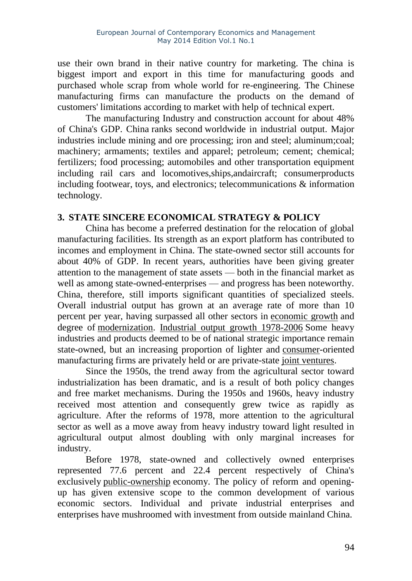use their own brand in their native country for marketing. The china is biggest import and export in this time for manufacturing goods and purchased whole scrap from whole world for re-engineering. The Chinese manufacturing firms can manufacture the products on the demand of customers' limitations according to market with help of technical expert.

The manufacturing Industry and construction account for about 48% of China's GDP. China [ranks second](http://en.wikipedia.org/wiki/List_of_countries_by_GDP_sector_composition) worldwide in industrial output. Major industries include mining and ore processing; [iron](http://en.wikipedia.org/wiki/Iron) and [steel;](http://en.wikipedia.org/wiki/Steel) [aluminum](http://en.wikipedia.org/wiki/Aluminum)[;coal;](http://en.wikipedia.org/wiki/Coal) [machinery;](http://en.wikipedia.org/wiki/Machinery) [armaments;](http://en.wikipedia.org/wiki/Armaments) [textiles](http://en.wikipedia.org/wiki/Textiles) and [apparel;](http://en.wikipedia.org/wiki/Apparel) [petroleum;](http://en.wikipedia.org/wiki/Petroleum) [cement;](http://en.wikipedia.org/wiki/Cement) [chemical;](http://en.wikipedia.org/wiki/Chemical) [fertilizers;](http://en.wikipedia.org/wiki/Fertilizers) [food processing;](http://en.wikipedia.org/wiki/Food_processing) [automobiles](http://en.wikipedia.org/wiki/Automobile) and other transportation equipment including rail cars and locomotives,ships,andaircraft; [consumerproducts](http://en.wikipedia.org/wiki/Consumer_products) including [footwear,](http://en.wikipedia.org/wiki/Footwear) toys, and [electronics;](http://en.wikipedia.org/wiki/Electronics) [telecommunications](http://en.wikipedia.org/wiki/Telecommunications) & [information](http://en.wikipedia.org/wiki/Information_technology)  [technology.](http://en.wikipedia.org/wiki/Information_technology)

#### **3. STATE SINCERE ECONOMICAL STRATEGY & POLICY**

China has become a preferred destination for the relocation of global manufacturing facilities. Its strength as an export platform has contributed to incomes and employment in China. The state-owned sector still accounts for about 40% of GDP. In recent years, authorities have been giving greater attention to the management of state assets — both in the financial market as well as among state-owned-enterprises — and progress has been noteworthy. China, therefore, still imports significant quantities of specialized steels. Overall industrial output has grown at an average rate of more than 10 percent per year, having surpassed all other sectors in [economic](http://en.wikipedia.org/wiki/Economic_growth) growth and degree of [modernization.](http://en.wikipedia.org/wiki/Modernization) Industrial output [growth 1978-2006](http://www.chinability.com/Industrial%20output.htm) Some heavy industries and products deemed to be of national strategic importance remain state-owned, but an increasing proportion of lighter and [consumer-](http://en.wikipedia.org/wiki/Consumer)oriented manufacturing firms are privately held or are private-state [joint ventures.](http://en.wikipedia.org/wiki/Joint_venture)

Since the 1950s, the trend away from the agricultural sector toward industrialization has been dramatic, and is a result of both policy changes and free market mechanisms. During the 1950s and 1960s, heavy industry received most attention and consequently grew twice as rapidly as agriculture. After the reforms of 1978, more attention to the agricultural sector as well as a move away from heavy industry toward light resulted in agricultural output almost doubling with only marginal increases for industry.

Before 1978, state-owned and collectively owned enterprises represented 77.6 percent and 22.4 percent respectively of China's exclusively [public-ownership](http://en.wikipedia.org/wiki/Public-ownership) economy. The policy of reform and openingup has given extensive scope to the common development of various economic sectors. Individual and private industrial enterprises and enterprises have mushroomed with investment from outside mainland China.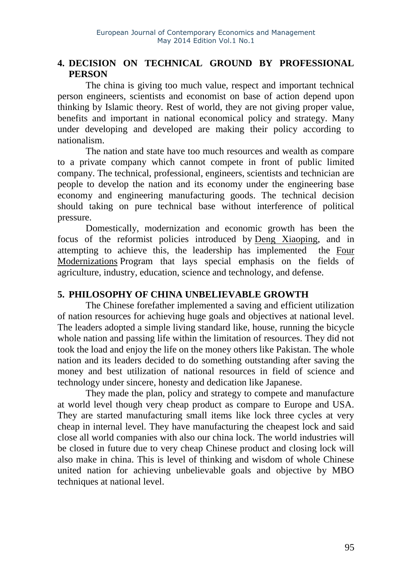# **4. DECISION ON TECHNICAL GROUND BY PROFESSIONAL PERSON**

The china is giving too much value, respect and important technical person engineers, scientists and economist on base of action depend upon thinking by Islamic theory. Rest of world, they are not giving proper value, benefits and important in national economical policy and strategy. Many under developing and developed are making their policy according to nationalism.

The nation and state have too much resources and wealth as compare to a private company which cannot compete in front of public limited company. The technical, professional, engineers, scientists and technician are people to develop the nation and its economy under the engineering base economy and engineering manufacturing goods. The technical decision should taking on pure technical base without interference of political pressure.

Domestically, modernization and economic growth has been the focus of the reformist policies introduced by Deng [Xiaoping,](http://en.wikipedia.org/wiki/Deng_Xiaoping) and in attempting to achieve this, the leadership has implemented the [Four](http://en.wikipedia.org/wiki/Four_Modernizations)  [Modernizations](http://en.wikipedia.org/wiki/Four_Modernizations) Program that lays special emphasis on the fields of agriculture, industry, education, science and technology, and defense.

# **5. PHILOSOPHY OF CHINA UNBELIEVABLE GROWTH**

The Chinese forefather implemented a saving and efficient utilization of nation resources for achieving huge goals and objectives at national level. The leaders adopted a simple living standard like, house, running the bicycle whole nation and passing life within the limitation of resources. They did not took the load and enjoy the life on the money others like Pakistan. The whole nation and its leaders decided to do something outstanding after saving the money and best utilization of national resources in field of science and technology under sincere, honesty and dedication like Japanese.

They made the plan, policy and strategy to compete and manufacture at world level though very cheap product as compare to Europe and USA. They are started manufacturing small items like lock three cycles at very cheap in internal level. They have manufacturing the cheapest lock and said close all world companies with also our china lock. The world industries will be closed in future due to very cheap Chinese product and closing lock will also make in china. This is level of thinking and wisdom of whole Chinese united nation for achieving unbelievable goals and objective by MBO techniques at national level.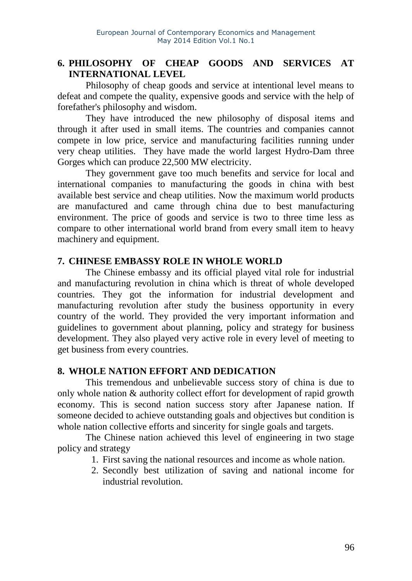# **6. PHILOSOPHY OF CHEAP GOODS AND SERVICES AT INTERNATIONAL LEVEL**

Philosophy of cheap goods and service at intentional level means to defeat and compete the quality, expensive goods and service with the help of forefather's philosophy and wisdom.

They have introduced the new philosophy of disposal items and through it after used in small items. The countries and companies cannot compete in low price, service and manufacturing facilities running under very cheap utilities. They have made the world largest Hydro-Dam three Gorges which can produce 22,500 MW electricity.

They government gave too much benefits and service for local and international companies to manufacturing the goods in china with best available best service and cheap utilities. Now the maximum world products are manufactured and came through china due to best manufacturing environment. The price of goods and service is two to three time less as compare to other international world brand from every small item to heavy machinery and equipment.

#### **7. CHINESE EMBASSY ROLE IN WHOLE WORLD**

The Chinese embassy and its official played vital role for industrial and manufacturing revolution in china which is threat of whole developed countries. They got the information for industrial development and manufacturing revolution after study the business opportunity in every country of the world. They provided the very important information and guidelines to government about planning, policy and strategy for business development. They also played very active role in every level of meeting to get business from every countries.

#### **8. WHOLE NATION EFFORT AND DEDICATION**

This tremendous and unbelievable success story of china is due to only whole nation & authority collect effort for development of rapid growth economy. This is second nation success story after Japanese nation. If someone decided to achieve outstanding goals and objectives but condition is whole nation collective efforts and sincerity for single goals and targets.

The Chinese nation achieved this level of engineering in two stage policy and strategy

- 1. First saving the national resources and income as whole nation.
- 2. Secondly best utilization of saving and national income for industrial revolution.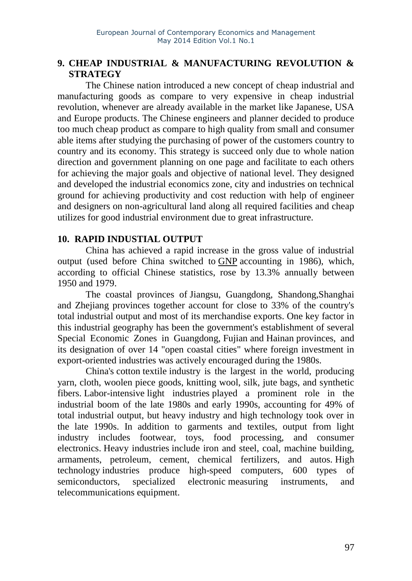# **9. CHEAP INDUSTRIAL & MANUFACTURING REVOLUTION & STRATEGY**

The Chinese nation introduced a new concept of cheap industrial and manufacturing goods as compare to very expensive in cheap industrial revolution, whenever are already available in the market like Japanese, USA and Europe products. The Chinese engineers and planner decided to produce too much cheap product as compare to high quality from small and consumer able items after studying the purchasing of power of the customers country to country and its economy. This strategy is succeed only due to whole nation direction and government planning on one page and facilitate to each others for achieving the major goals and objective of national level. They designed and developed the industrial economics zone, city and industries on technical ground for achieving productivity and cost reduction with help of engineer and designers on non-agricultural land along all required facilities and cheap utilizes for good industrial environment due to great infrastructure.

#### **10. RAPID INDUSTIAL OUTPUT**

China has achieved a rapid increase in the gross value of industrial output (used before China switched to [GNP](http://en.wikipedia.org/wiki/Gross_national_product) accounting in 1986), which, according to official Chinese statistics, rose by 13.3% annually between 1950 and 1979.

The coastal provinces of [Jiangsu,](http://en.wikipedia.org/wiki/Jiangsu) [Guangdong,](http://en.wikipedia.org/wiki/Guangdong) [Shandong,](http://en.wikipedia.org/wiki/Shandong)[Shanghai](http://en.wikipedia.org/wiki/Shanghai) and [Zhejiang](http://en.wikipedia.org/wiki/Zhejiang) provinces together account for close to 33% of the country's total industrial output and most of its merchandise exports. One key factor in this industrial geography has been the government's establishment of several [Special Economic](http://en.wikipedia.org/wiki/Special_Economic_Zone) Zones in [Guangdong,](http://en.wikipedia.org/wiki/Guangdong) [Fujian](http://en.wikipedia.org/wiki/Fujian) and [Hainan](http://en.wikipedia.org/wiki/Hainan) provinces, and its designation of over 14 "open coastal cities" where foreign investment in export-oriented industries was actively encouraged during the 1980s.

China's [cotton](http://en.wikipedia.org/wiki/Cotton) [textile](http://en.wikipedia.org/wiki/Textile) industry is the largest in the world, producing yarn, cloth, woolen piece goods, knitting wool, silk, jute bags, and synthetic fibers. [Labor-intensive](http://en.wikipedia.org/wiki/Labor-intensive) [light industries](http://en.wikipedia.org/wiki/Light_industries) played a prominent role in the industrial boom of the late 1980s and early 1990s, accounting for 49% of total industrial output, but heavy industry and high technology took over in the late 1990s. In addition to garments and textiles, output from light industry includes footwear, toys, food processing, and consumer electronics. Heavy [industries](http://en.wikipedia.org/wiki/Heavy_industries) include iron and steel, coal, machine building, armaments, petroleum, cement, chemical fertilizers, and autos. [High](http://en.wikipedia.org/wiki/High_technology) [technology](http://en.wikipedia.org/wiki/High_technology) industries produce high-speed computers, 600 types of semiconductors, specialized electronic measuring [instruments,](http://en.wikipedia.org/wiki/Measuring_instrument) and telecommunications equipment.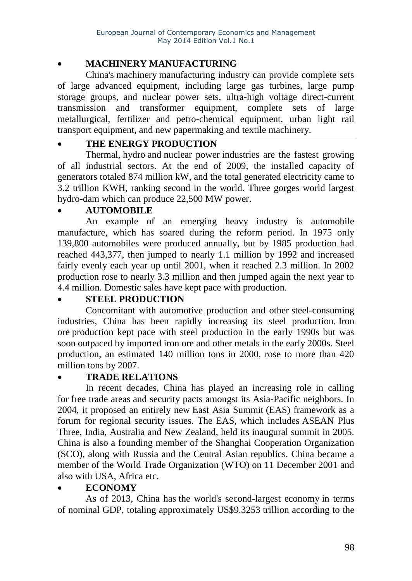# • **MACHINERY MANUFACTURING**

China's [machinery](http://en.wikipedia.org/wiki/Machinery) manufacturing industry can provide complete sets of large advanced equipment, including large gas turbines, large pump storage groups, and nuclear power sets, ultra-high voltage direct-current transmission and transformer equipment, complete sets of large metallurgical, fertilizer and petro-chemical equipment, urban light rail transport equipment, and new papermaking and textile machinery.

# • **THE ENERGY PRODUCTION**

[Thermal,](http://en.wikipedia.org/wiki/Thermal_power) [hydro](http://en.wikipedia.org/wiki/Hydropower) and [nuclear power](http://en.wikipedia.org/wiki/Nuclear_power) industries are the fastest growing of all industrial sectors. At the end of 2009, the installed capacity of generators totaled 874 million kW, and the total generated [electricity](http://en.wikipedia.org/wiki/Electricity) came to 3.2 trillion KWH, ranking second in the world. Three gorges world largest hydro-dam which can produce 22,500 MW power.

#### • **AUTOMOBILE**

An example of an emerging heavy [industry](http://en.wikipedia.org/wiki/Heavy_industry) is [automobile](http://en.wikipedia.org/wiki/Automobile) manufacture, which has soared during the reform period. In 1975 only 139,800 automobiles were produced annually, but by 1985 production had reached 443,377, then jumped to nearly 1.1 million by 1992 and increased fairly evenly each year up until 2001, when it reached 2.3 million. In 2002 production rose to nearly 3.3 million and then jumped again the next year to 4.4 million. Domestic sales have kept pace with production.

# • **STEEL PRODUCTION**

Concomitant with automotive production and other [steel-](http://en.wikipedia.org/wiki/Steel)consuming industries, China has been rapidly increasing its steel production. [Iron](http://en.wikipedia.org/wiki/Iron_ore)  [ore](http://en.wikipedia.org/wiki/Iron_ore) production kept pace with steel production in the early 1990s but was soon outpaced by imported iron ore and other metals in the early 2000s. Steel production, an estimated 140 million tons in 2000, rose to more than 420 million tons by 2007.

# • **TRADE RELATIONS**

In recent decades, China has played an increasing role in calling for free trade [areas](http://en.wikipedia.org/wiki/Free_trade_area) and security pacts amongst its Asia-Pacific neighbors. In 2004, it proposed an entirely new [East Asia](http://en.wikipedia.org/wiki/East_Asia_Summit) Summit (EAS) framework as a forum for regional security issues. The EAS, which includes [ASEAN](http://en.wikipedia.org/wiki/ASEAN_Plus_Three) Plus [Three,](http://en.wikipedia.org/wiki/ASEAN_Plus_Three) India, Australia and New Zealand, held its inaugural summit in 2005. China is also a founding member of the Shanghai Cooperation Organization (SCO), along with Russia and the Central Asian republics. China became a member of the World Trade Organization (WTO) on 11 December 2001 and also with USA, Africa etc.

# • **ECONOMY**

As of 2013, China has the [world's second-largest economy](http://en.wikipedia.org/wiki/List_of_countries_by_GDP_(nominal)) in terms of nominal GDP, totaling approximately US\$9.3253 trillion according to the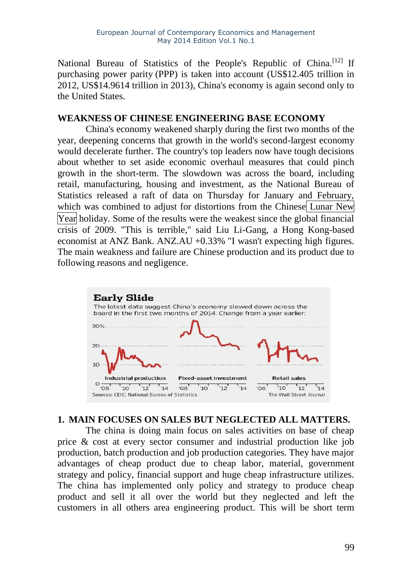National Bureau of Statistics of the People's Republic of China.<sup>[\[12\]](http://en.wikipedia.org/wiki/China#cite_note-imf2-18)</sup> If purchasing [power parity](http://en.wikipedia.org/wiki/Purchasing_power_parity) (PPP) is taken into account (US\$12.405 trillion in 2012, US\$14.9614 trillion in 2013), China's economy is again second only to the United States.

#### **WEAKNESS OF CHINESE ENGINEERING BASE ECONOMY**

China's economy weakened sharply during the first two months of the year, deepening concerns that growth in the world's second-largest economy would decelerate further. The country's top leaders now have tough decisions about whether to set aside economic overhaul measures that could pinch growth in the short-term. The slowdown was across the board, including retail, manufacturing, housing and investment, as the National Bureau of Statistics released a raft of data on Thursday for January and February, which was combined to adjust for distortions from the Chinese Lunar New Year holiday. Some of the results were the weakest since the global financial crisis of 2009. "This is terrible," said Liu Li-Gang, a Hong Kong-based economist at ANZ [Bank.](http://quotes.wsj.com/AU/ANZ) [ANZ.AU](http://quotes.wsj.com/AU/ANZ) +0.33% "I wasn't expecting high figures. The main weakness and failure are Chinese production and its product due to following reasons and negligence.



# **1. MAIN FOCUSES ON SALES BUT NEGLECTED ALL MATTERS.**

The china is doing main focus on sales activities on base of cheap price & cost at every sector consumer and industrial production like job production, batch production and job production categories. They have major advantages of cheap product due to cheap labor, material, government strategy and policy, financial support and huge cheap infrastructure utilizes. The china has implemented only policy and strategy to produce cheap product and sell it all over the world but they neglected and left the customers in all others area engineering product. This will be short term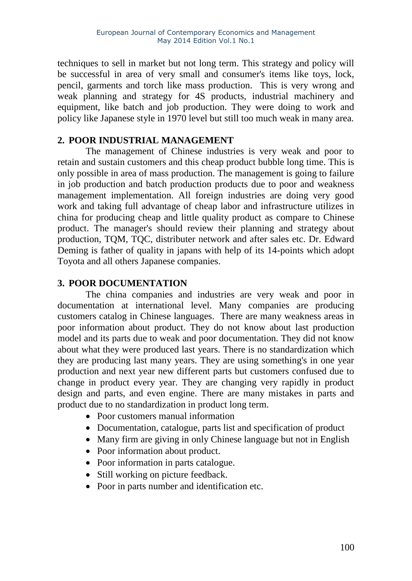techniques to sell in market but not long term. This strategy and policy will be successful in area of very small and consumer's items like toys, lock, pencil, garments and torch like mass production. This is very wrong and weak planning and strategy for 4S products, industrial machinery and equipment, like batch and job production. They were doing to work and policy like Japanese style in 1970 level but still too much weak in many area.

#### **2. POOR INDUSTRIAL MANAGEMENT**

The management of Chinese industries is very weak and poor to retain and sustain customers and this cheap product bubble long time. This is only possible in area of mass production. The management is going to failure in job production and batch production products due to poor and weakness management implementation. All foreign industries are doing very good work and taking full advantage of cheap labor and infrastructure utilizes in china for producing cheap and little quality product as compare to Chinese product. The manager's should review their planning and strategy about production, TQM, TQC, distributer network and after sales etc. Dr. Edward Deming is father of quality in japans with help of its 14-points which adopt Toyota and all others Japanese companies.

#### **3. POOR DOCUMENTATION**

The china companies and industries are very weak and poor in documentation at international level. Many companies are producing customers catalog in Chinese languages. There are many weakness areas in poor information about product. They do not know about last production model and its parts due to weak and poor documentation. They did not know about what they were produced last years. There is no standardization which they are producing last many years. They are using something's in one year production and next year new different parts but customers confused due to change in product every year. They are changing very rapidly in product design and parts, and even engine. There are many mistakes in parts and product due to no standardization in product long term.

- Poor customers manual information
- Documentation, catalogue, parts list and specification of product
- Many firm are giving in only Chinese language but not in English
- Poor information about product.
- Poor information in parts catalogue.
- Still working on picture feedback.
- Poor in parts number and identification etc.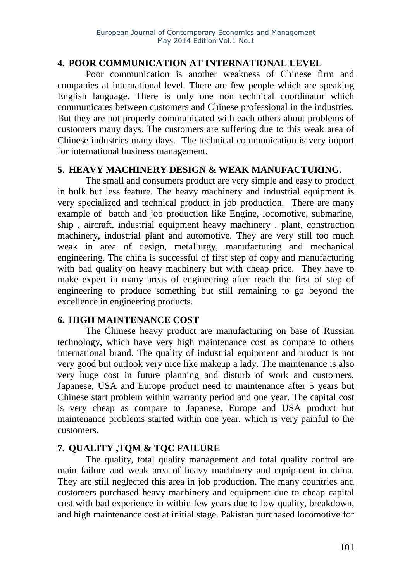#### **4. POOR COMMUNICATION AT INTERNATIONAL LEVEL**

Poor communication is another weakness of Chinese firm and companies at international level. There are few people which are speaking English language. There is only one non technical coordinator which communicates between customers and Chinese professional in the industries. But they are not properly communicated with each others about problems of customers many days. The customers are suffering due to this weak area of Chinese industries many days. The technical communication is very import for international business management.

#### **5. HEAVY MACHINERY DESIGN & WEAK MANUFACTURING.**

The small and consumers product are very simple and easy to product in bulk but less feature. The heavy machinery and industrial equipment is very specialized and technical product in job production. There are many example of batch and job production like Engine, locomotive, submarine, ship , aircraft, industrial equipment heavy machinery , plant, construction machinery, industrial plant and automotive. They are very still too much weak in area of design, metallurgy, manufacturing and mechanical engineering. The china is successful of first step of copy and manufacturing with bad quality on heavy machinery but with cheap price. They have to make expert in many areas of engineering after reach the first of step of engineering to produce something but still remaining to go beyond the excellence in engineering products.

#### **6. HIGH MAINTENANCE COST**

The Chinese heavy product are manufacturing on base of Russian technology, which have very high maintenance cost as compare to others international brand. The quality of industrial equipment and product is not very good but outlook very nice like makeup a lady. The maintenance is also very huge cost in future planning and disturb of work and customers. Japanese, USA and Europe product need to maintenance after 5 years but Chinese start problem within warranty period and one year. The capital cost is very cheap as compare to Japanese, Europe and USA product but maintenance problems started within one year, which is very painful to the customers.

# **7. QUALITY ,TQM & TQC FAILURE**

The quality, total quality management and total quality control are main failure and weak area of heavy machinery and equipment in china. They are still neglected this area in job production. The many countries and customers purchased heavy machinery and equipment due to cheap capital cost with bad experience in within few years due to low quality, breakdown, and high maintenance cost at initial stage. Pakistan purchased locomotive for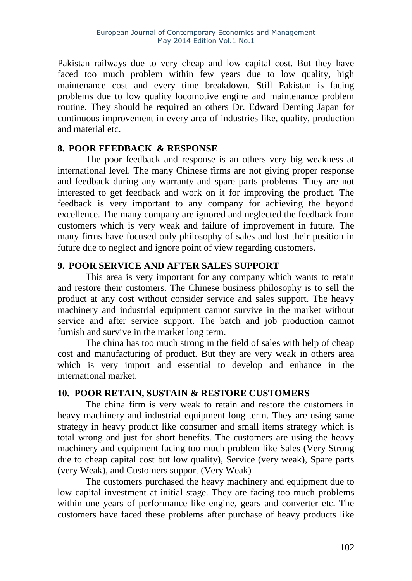Pakistan railways due to very cheap and low capital cost. But they have faced too much problem within few years due to low quality, high maintenance cost and every time breakdown. Still Pakistan is facing problems due to low quality locomotive engine and maintenance problem routine. They should be required an others Dr. Edward Deming Japan for continuous improvement in every area of industries like, quality, production and material etc.

#### **8. POOR FEEDBACK & RESPONSE**

The poor feedback and response is an others very big weakness at international level. The many Chinese firms are not giving proper response and feedback during any warranty and spare parts problems. They are not interested to get feedback and work on it for improving the product. The feedback is very important to any company for achieving the beyond excellence. The many company are ignored and neglected the feedback from customers which is very weak and failure of improvement in future. The many firms have focused only philosophy of sales and lost their position in future due to neglect and ignore point of view regarding customers.

# **9. POOR SERVICE AND AFTER SALES SUPPORT**

This area is very important for any company which wants to retain and restore their customers. The Chinese business philosophy is to sell the product at any cost without consider service and sales support. The heavy machinery and industrial equipment cannot survive in the market without service and after service support. The batch and job production cannot furnish and survive in the market long term.

The china has too much strong in the field of sales with help of cheap cost and manufacturing of product. But they are very weak in others area which is very import and essential to develop and enhance in the international market.

#### **10. POOR RETAIN, SUSTAIN & RESTORE CUSTOMERS**

The china firm is very weak to retain and restore the customers in heavy machinery and industrial equipment long term. They are using same strategy in heavy product like consumer and small items strategy which is total wrong and just for short benefits. The customers are using the heavy machinery and equipment facing too much problem like Sales (Very Strong due to cheap capital cost but low quality), Service (very weak), Spare parts (very Weak), and Customers support (Very Weak)

The customers purchased the heavy machinery and equipment due to low capital investment at initial stage. They are facing too much problems within one years of performance like engine, gears and converter etc. The customers have faced these problems after purchase of heavy products like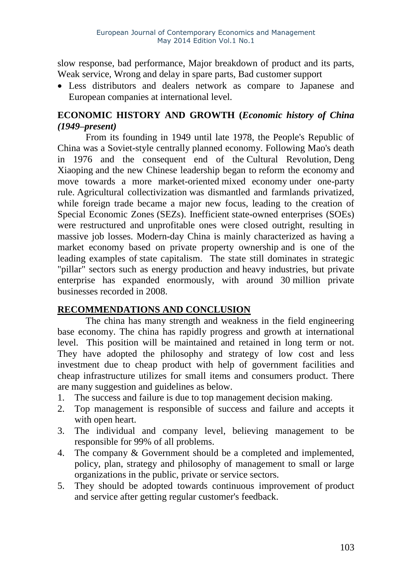slow response, bad performance, Major breakdown of product and its parts, Weak service, Wrong and delay in spare parts, Bad customer support

• Less distributors and dealers network as compare to Japanese and European companies at international level.

# **ECONOMIC HISTORY AND GROWTH (***[Economic history](http://en.wikipedia.org/wiki/Economic_history_of_China_(1949%E2%80%93present)) of China [\(1949–present\)](http://en.wikipedia.org/wiki/Economic_history_of_China_(1949%E2%80%93present))*

From its founding in 1949 until late 1978, the People's Republic of China was a Soviet-style centrally [planned economy.](http://en.wikipedia.org/wiki/Planned_economy) Following Mao's death in 1976 and the consequent end of the [Cultural Revolution,](http://en.wikipedia.org/wiki/Cultural_Revolution) [Deng](http://en.wikipedia.org/wiki/Deng_Xiaoping)  [Xiaoping](http://en.wikipedia.org/wiki/Deng_Xiaoping) and the new Chinese leadership began to [reform the economy](http://en.wikipedia.org/wiki/Economic_reform_in_the_People%27s_Republic_of_China) and move towards a more market-oriented [mixed economy](http://en.wikipedia.org/wiki/Mixed_economy) under one-party rule. [Agricultural collectivization](http://en.wikipedia.org/wiki/Collective_farming) was dismantled and farmlands privatized, while foreign trade became a major new focus, leading to the creation of [Special Economic](http://en.wikipedia.org/wiki/Special_Economic_Zone) Zones (SEZs). Inefficient [state-owned enterprises](http://en.wikipedia.org/wiki/Government-owned_corporation) (SOEs) were restructured and unprofitable ones were closed outright, resulting in massive job losses. Modern-day China is mainly characterized as having a market economy based on private property ownership and is one of the leading examples of state [capitalism.](http://en.wikipedia.org/wiki/State_capitalism) The state still dominates in strategic "pillar" sectors such as energy production and heavy [industries,](http://en.wikipedia.org/wiki/Heavy_industry) but private enterprise has expanded enormously, with around 30 million private businesses recorded in 2008.

# **RECOMMENDATIONS AND CONCLUSION**

The china has many strength and weakness in the field engineering base economy. The china has rapidly progress and growth at international level. This position will be maintained and retained in long term or not. They have adopted the philosophy and strategy of low cost and less investment due to cheap product with help of government facilities and cheap infrastructure utilizes for small items and consumers product. There are many suggestion and guidelines as below.

- 1. The success and failure is due to top management decision making.
- 2. Top management is responsible of success and failure and accepts it with open heart.
- 3. The individual and company level, believing management to be responsible for 99% of all problems.
- 4. The company & Government should be a completed and implemented, policy, plan, strategy and philosophy of management to small or large organizations in the public, private or service sectors.
- 5. They should be adopted towards continuous improvement of product and service after getting regular customer's feedback.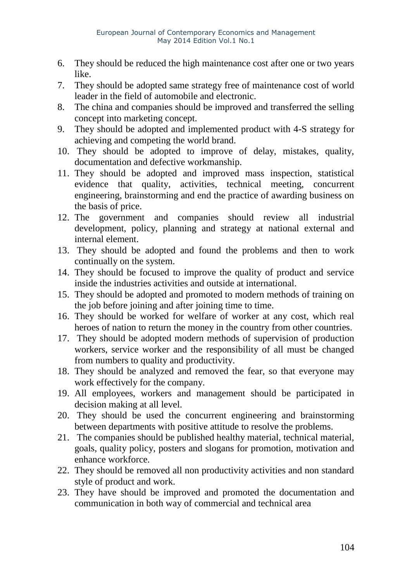- 6. They should be reduced the high maintenance cost after one or two years like.
- 7. They should be adopted same strategy free of maintenance cost of world leader in the field of automobile and electronic.
- 8. The china and companies should be improved and transferred the selling concept into marketing concept.
- 9. They should be adopted and implemented product with 4-S strategy for achieving and competing the world brand.
- 10. They should be adopted to improve of delay, mistakes, quality, documentation and defective workmanship.
- 11. They should be adopted and improved mass inspection, statistical evidence that quality, activities, technical meeting, concurrent engineering, brainstorming and end the practice of awarding business on the basis of price.
- 12. The government and companies should review all industrial development, policy, planning and strategy at national external and internal element.
- 13. They should be adopted and found the problems and then to work continually on the system.
- 14. They should be focused to improve the quality of product and service inside the industries activities and outside at international.
- 15. They should be adopted and promoted to modern methods of training on the job before joining and after joining time to time.
- 16. They should be worked for welfare of worker at any cost, which real heroes of nation to return the money in the country from other countries.
- 17. They should be adopted modern methods of supervision of production workers, service worker and the responsibility of all must be changed from numbers to quality and productivity.
- 18. They should be analyzed and removed the fear, so that everyone may work effectively for the company.
- 19. All employees, workers and management should be participated in decision making at all level.
- 20. They should be used the concurrent engineering and brainstorming between departments with positive attitude to resolve the problems.
- 21. The companies should be published healthy material, technical material, goals, quality policy, posters and slogans for promotion, motivation and enhance workforce.
- 22. They should be removed all non productivity activities and non standard style of product and work.
- 23. They have should be improved and promoted the documentation and communication in both way of commercial and technical area